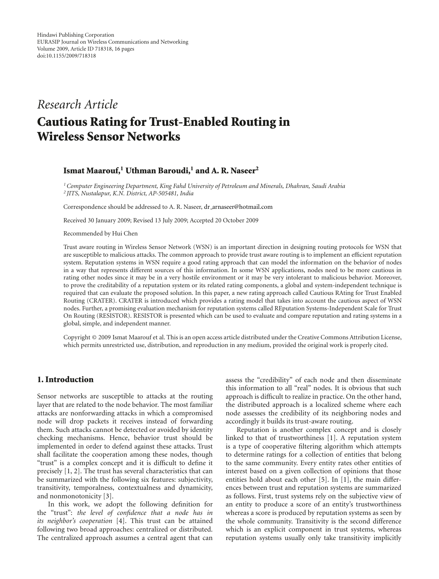## *Research Article*

# **Cautious Rating for Trust-Enabled Routing in Wireless Sensor Networks**

## **Ismat Maarouf,<sup>1</sup> Uthman Baroudi,<sup>1</sup> and A. R. Naseer<sup>2</sup>**

*1Computer Engineering Department, King Fahd University of Petroleum and Minerals, Dhahran, Saudi Arabia <sup>2</sup> JITS, Nustalapur, K.N. District, AP-505481, India*

Correspondence should be addressed to A. R. Naseer, dr\_arnaseer@hotmail.com

Received 30 January 2009; Revised 13 July 2009; Accepted 20 October 2009

Recommended by Hui Chen

Trust aware routing in Wireless Sensor Network (WSN) is an important direction in designing routing protocols for WSN that are susceptible to malicious attacks. The common approach to provide trust aware routing is to implement an efficient reputation system. Reputation systems in WSN require a good rating approach that can model the information on the behavior of nodes in a way that represents different sources of this information. In some WSN applications, nodes need to be more cautious in rating other nodes since it may be in a very hostile environment or it may be very intolerant to malicious behavior. Moreover, to prove the creditability of a reputation system or its related rating components, a global and system-independent technique is required that can evaluate the proposed solution. In this paper, a new rating approach called Cautious RAting for Trust Enabled Routing (CRATER). CRATER is introduced which provides a rating model that takes into account the cautious aspect of WSN nodes. Further, a promising evaluation mechanism for reputation systems called REputation Systems-Independent Scale for Trust On Routing (RESISTOR). RESISTOR is presented which can be used to evaluate and compare reputation and rating systems in a global, simple, and independent manner.

Copyright © 2009 Ismat Maarouf et al. This is an open access article distributed under the Creative Commons Attribution License, which permits unrestricted use, distribution, and reproduction in any medium, provided the original work is properly cited.

## **1. Introduction**

Sensor networks are susceptible to attacks at the routing layer that are related to the node behavior. The most familiar attacks are nonforwarding attacks in which a compromised node will drop packets it receives instead of forwarding them. Such attacks cannot be detected or avoided by identity checking mechanisms. Hence, behavior trust should be implemented in order to defend against these attacks. Trust shall facilitate the cooperation among these nodes, though "trust" is a complex concept and it is difficult to define it precisely [1, 2]. The trust has several characteristics that can be summarized with the following six features: subjectivity, transitivity, temporalness, contextualness and dynamicity, and nonmonotonicity [3].

In this work, we adopt the following definition for the "trust": *the level of confidence that a node has in its neighbor's cooperation* [4]. This trust can be attained following two broad approaches: centralized or distributed. The centralized approach assumes a central agent that can

assess the "credibility" of each node and then disseminate this information to all "real" nodes. It is obvious that such approach is difficult to realize in practice. On the other hand, the distributed approach is a localized scheme where each node assesses the credibility of its neighboring nodes and accordingly it builds its trust-aware routing.

Reputation is another complex concept and is closely linked to that of trustworthiness [1]. A reputation system is a type of cooperative filtering algorithm which attempts to determine ratings for a collection of entities that belong to the same community. Every entity rates other entities of interest based on a given collection of opinions that those entities hold about each other [5]. In [1], the main differences between trust and reputation systems are summarized as follows. First, trust systems rely on the subjective view of an entity to produce a score of an entity's trustworthiness whereas a score is produced by reputation systems as seen by the whole community. Transitivity is the second difference which is an explicit component in trust systems, whereas reputation systems usually only take transitivity implicitly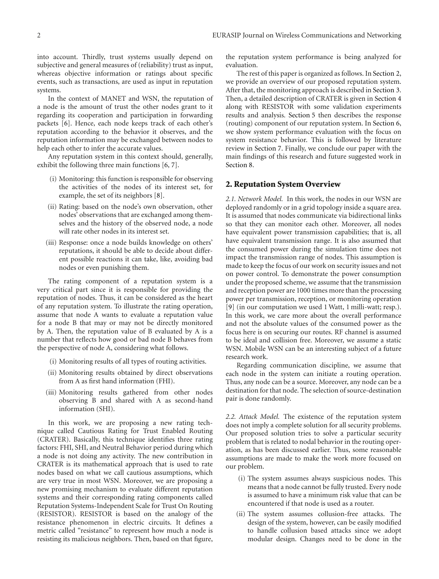into account. Thirdly, trust systems usually depend on subjective and general measures of (reliability) trust as input, whereas objective information or ratings about specific events, such as transactions, are used as input in reputation systems.

In the context of MANET and WSN, the reputation of a node is the amount of trust the other nodes grant to it regarding its cooperation and participation in forwarding packets [6]. Hence, each node keeps track of each other's reputation according to the behavior it observes, and the reputation information may be exchanged between nodes to help each other to infer the accurate values.

Any reputation system in this context should, generally, exhibit the following three main functions [6, 7].

- (i) Monitoring: this function is responsible for observing the activities of the nodes of its interest set, for example, the set of its neighbors [8].
- (ii) Rating: based on the node's own observation, other nodes' observations that are exchanged among themselves and the history of the observed node, a node will rate other nodes in its interest set.
- (iii) Response: once a node builds knowledge on others' reputations, it should be able to decide about different possible reactions it can take, like, avoiding bad nodes or even punishing them.

The rating component of a reputation system is a very critical part since it is responsible for providing the reputation of nodes. Thus, it can be considered as the heart of any reputation system. To illustrate the rating operation, assume that node A wants to evaluate a reputation value for a node B that may or may not be directly monitored by A. Then, the reputation value of B evaluated by A is a number that reflects how good or bad node B behaves from the perspective of node A, considering what follows.

- (i) Monitoring results of all types of routing activities.
- (ii) Monitoring results obtained by direct observations from A as first hand information (FHI).
- (iii) Monitoring results gathered from other nodes observing B and shared with A as second-hand information (SHI).

In this work, we are proposing a new rating technique called Cautious Rating for Trust Enabled Routing (CRATER). Basically, this technique identifies three rating factors: FHI, SHI, and Neutral Behavior period during which a node is not doing any activity. The new contribution in CRATER is its mathematical approach that is used to rate nodes based on what we call cautious assumptions, which are very true in most WSN. Moreover, we are proposing a new promising mechanism to evaluate different reputation systems and their corresponding rating components called Reputation Systems-Independent Scale for Trust On Routing (RESISTOR). RESISTOR is based on the analogy of the resistance phenomenon in electric circuits. It defines a metric called "resistance" to represent how much a node is resisting its malicious neighbors. Then, based on that figure,

the reputation system performance is being analyzed for evaluation.

The rest of this paper is organized as follows. In Section 2, we provide an overview of our proposed reputation system. After that, the monitoring approach is described in Section 3. Then, a detailed description of CRATER is given in Section 4 along with RESISTOR with some validation experiments results and analysis. Section 5 then describes the response (routing) component of our reputation system. In Section 6, we show system performance evaluation with the focus on system resistance behavior. This is followed by literature review in Section 7. Finally, we conclude our paper with the main findings of this research and future suggested work in Section 8.

## **2. Reputation System Overview**

*2.1. Network Model.* In this work, the nodes in our WSN are deployed randomly or in a grid topology inside a square area. It is assumed that nodes communicate via bidirectional links so that they can monitor each other. Moreover, all nodes have equivalent power transmission capabilities; that is, all have equivalent transmission range. It is also assumed that the consumed power during the simulation time does not impact the transmission range of nodes. This assumption is made to keep the focus of our work on security issues and not on power control. To demonstrate the power consumption under the proposed scheme, we assume that the transmission and reception power are 1000 times more than the processing power per transmission, reception, or monitoring operation [9] (in our computation we used 1 Watt, 1 milli-watt; resp.). In this work, we care more about the overall performance and not the absolute values of the consumed power as the focus here is on securing our routes. RF channel is assumed to be ideal and collision free. Moreover, we assume a static WSN. Mobile WSN can be an interesting subject of a future research work.

Regarding communication discipline, we assume that each node in the system can initiate a routing operation. Thus, any node can be a source. Moreover, any node can be a destination for that node. The selection of source-destination pair is done randomly.

*2.2. Attack Model.* The existence of the reputation system does not imply a complete solution for all security problems. Our proposed solution tries to solve a particular security problem that is related to nodal behavior in the routing operation, as has been discussed earlier. Thus, some reasonable assumptions are made to make the work more focused on our problem.

- (i) The system assumes always suspicious nodes. This means that a node cannot be fully trusted. Every node is assumed to have a minimum risk value that can be encountered if that node is used as a router.
- (ii) The system assumes collusion-free attacks. The design of the system, however, can be easily modified to handle collusion based attacks since we adopt modular design. Changes need to be done in the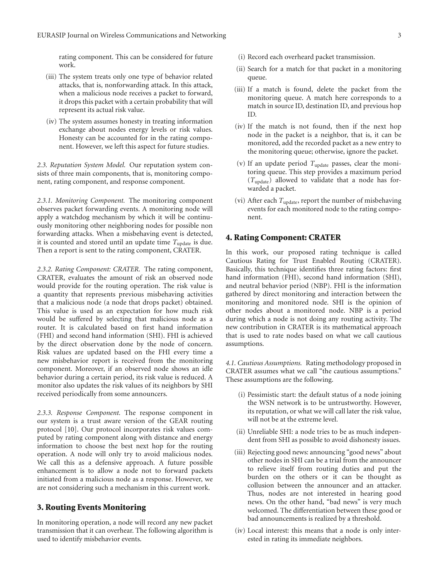rating component. This can be considered for future work.

- (iii) The system treats only one type of behavior related attacks, that is, nonforwarding attack. In this attack, when a malicious node receives a packet to forward, it drops this packet with a certain probability that will represent its actual risk value.
- (iv) The system assumes honesty in treating information exchange about nodes energy levels or risk values. Honesty can be accounted for in the rating component. However, we left this aspect for future studies.

*2.3. Reputation System Model.* Our reputation system consists of three main components, that is, monitoring component, rating component, and response component.

*2.3.1. Monitoring Component.* The monitoring component observes packet forwarding events. A monitoring node will apply a watchdog mechanism by which it will be continuously monitoring other neighboring nodes for possible non forwarding attacks. When a misbehaving event is detected, it is counted and stored until an update time *T*update is due. Then a report is sent to the rating component, CRATER.

*2.3.2. Rating Component: CRATER.* The rating component, CRATER, evaluates the amount of risk an observed node would provide for the routing operation. The risk value is a quantity that represents previous misbehaving activities that a malicious node (a node that drops packet) obtained. This value is used as an expectation for how much risk would be suffered by selecting that malicious node as a router. It is calculated based on first hand information (FHI) and second hand information (SHI). FHI is achieved by the direct observation done by the node of concern. Risk values are updated based on the FHI every time a new misbehavior report is received from the monitoring component. Moreover, if an observed node shows an idle behavior during a certain period, its risk value is reduced. A monitor also updates the risk values of its neighbors by SHI received periodically from some announcers.

*2.3.3. Response Component.* The response component in our system is a trust aware version of the GEAR routing protocol [10]. Our protocol incorporates risk values computed by rating component along with distance and energy information to choose the best next hop for the routing operation. A node will only try to avoid malicious nodes. We call this as a defensive approach. A future possible enhancement is to allow a node not to forward packets initiated from a malicious node as a response. However, we are not considering such a mechanism in this current work.

## **3. Routing Events Monitoring**

In monitoring operation, a node will record any new packet transmission that it can overhear. The following algorithm is used to identify misbehavior events.

- (i) Record each overheard packet transmission.
- (ii) Search for a match for that packet in a monitoring queue.
- (iii) If a match is found, delete the packet from the monitoring queue. A match here corresponds to a match in source ID, destination ID, and previous hop ID.
- (iv) If the match is not found, then if the next hop node in the packet is a neighbor, that is, it can be monitored, add the recorded packet as a new entry to the monitoring queue; otherwise, ignore the packet.
- (v) If an update period *T*update passes, clear the monitoring queue. This step provides a maximum period (*T*update) allowed to validate that a node has forwarded a packet.
- (vi) After each *T*<sub>update</sub>, report the number of misbehaving events for each monitored node to the rating component.

## **4. Rating Component: CRATER**

In this work, our proposed rating technique is called Cautious Rating for Trust Enabled Routing (CRATER). Basically, this technique identifies three rating factors: first hand information (FHI), second hand information (SHI), and neutral behavior period (NBP). FHI is the information gathered by direct monitoring and interaction between the monitoring and monitored node. SHI is the opinion of other nodes about a monitored node. NBP is a period during which a node is not doing any routing activity. The new contribution in CRATER is its mathematical approach that is used to rate nodes based on what we call cautious assumptions.

*4.1. Cautious Assumptions.* Rating methodology proposed in CRATER assumes what we call "the cautious assumptions." These assumptions are the following.

- (i) Pessimistic start: the default status of a node joining the WSN network is to be untrustworthy. However, its reputation, or what we will call later the risk value, will not be at the extreme level.
- (ii) Unreliable SHI: a node tries to be as much independent from SHI as possible to avoid dishonesty issues.
- (iii) Rejecting good news: announcing "good news" about other nodes in SHI can be a trial from the announcer to relieve itself from routing duties and put the burden on the others or it can be thought as collusion between the announcer and an attacker. Thus, nodes are not interested in hearing good news. On the other hand, "bad news" is very much welcomed. The differentiation between these good or bad announcements is realized by a threshold.
- (iv) Local interest: this means that a node is only interested in rating its immediate neighbors.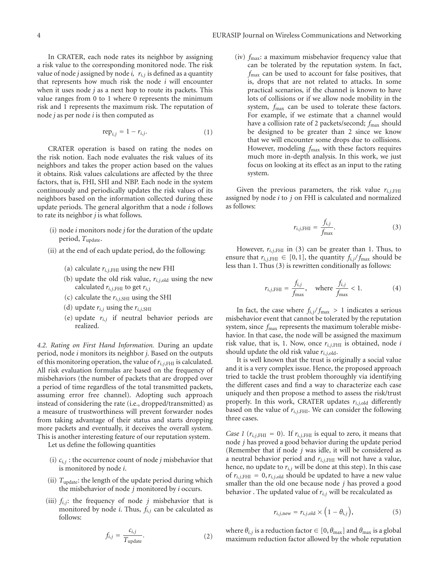In CRATER, each node rates its neighbor by assigning a risk value to the corresponding monitored node. The risk value of node *j* assigned by node *i,*  $r_{i,j}$  is defined as a quantity that represents how much risk the node *i* will encounter when it uses node *j* as a next hop to route its packets. This value ranges from 0 to 1 where 0 represents the minimum risk and 1 represents the maximum risk. The reputation of node *j* as per node *i* is then computed as

$$
rep_{i,j} = 1 - r_{i,j}.\tag{1}
$$

CRATER operation is based on rating the nodes on the risk notion. Each node evaluates the risk values of its neighbors and takes the proper action based on the values it obtains. Risk values calculations are affected by the three factors, that is, FHI, SHI and NBP. Each node in the system continuously and periodically updates the risk values of its neighbors based on the information collected during these update periods. The general algorithm that a node *i* follows to rate its neighbor *j* is what follows.

- (i) node *i* monitors node *j* for the duration of the update period, *T*update.
- (ii) at the end of each update period, do the following:
	- (a) calculate  $r_{i,j,\text{FHI}}$  using the new FHI
	- (b) update the old risk value,  $r_{i,j,old}$  using the new calculated  $r_{i,j,\text{FHI}}$  to get  $r_{i,j}$
	- (c) calculate the  $r_{i,j,\text{SHI}}$  using the SHI
	- (d) update  $r_{i,j}$  using the  $r_{i,j,\text{SHI}}$
	- (e) update *ri*,*<sup>j</sup>* if neutral behavior periods are realized.

*4.2. Rating on First Hand Information.* During an update period, node *i* monitors its neighbor *j*. Based on the outputs of this monitoring operation, the value of  $r_{i,j,\text{FHI}}$  is calculated. All risk evaluation formulas are based on the frequency of misbehaviors (the number of packets that are dropped over a period of time regardless of the total transmitted packets, assuming error free channel). Adopting such approach instead of considering the rate (i.e., dropped/transmitted) as a measure of trustworthiness will prevent forwarder nodes from taking advantage of their status and starts dropping more packets and eventually, it deceives the overall system. This is another interesting feature of our reputation system.

Let us define the following quantities

- (i)  $c_{i,j}$ : the occurrence count of node *j* misbehavior that is monitored by node *i*.
- (ii) *T*update: the length of the update period during which the misbehavior of node *j* monitored by *i* occurs.
- (iii)  $f_{i,j}$ : the frequency of node *j* misbehavior that is monitored by node *i*. Thus, *fi*,*<sup>j</sup>* can be calculated as follows:

$$
f_{i,j} = \frac{c_{i,j}}{T_{\text{update}}}.\tag{2}
$$

(iv) *f*max: a maximum misbehavior frequency value that can be tolerated by the reputation system. In fact, *f*max can be used to account for false positives, that is, drops that are not related to attacks. In some practical scenarios, if the channel is known to have lots of collisions or if we allow node mobility in the system,  $f_{\text{max}}$  can be used to tolerate these factors. For example, if we estimate that a channel would have a collision rate of 2 packets/second;  $f_{\text{max}}$  should be designed to be greater than 2 since we know that we will encounter some drops due to collisions. However, modeling  $f_{\text{max}}$  with these factors requires much more in-depth analysis. In this work, we just focus on looking at its effect as an input to the rating system.

Given the previous parameters, the risk value  $r_{i,j,\text{FHI}}$ assigned by node *i* to *j* on FHI is calculated and normalized as follows:

$$
r_{i,j,\text{FHI}} = \frac{f_{i,j}}{f_{\text{max}}}.\tag{3}
$$

However,  $r_{i,j,\text{FHI}}$  in (3) can be greater than 1. Thus, to ensure that  $r_{i,j,\text{FHI}} \in [0,1]$ , the quantity  $f_{i,j}/f_{\text{max}}$  should be less than 1. Thus (3) is rewritten conditionally as follows:

$$
r_{i,j,\text{FHI}} = \frac{f_{i,j}}{f_{\text{max}}}, \quad \text{where } \frac{f_{i,j}}{f_{\text{max}}} < 1. \tag{4}
$$

In fact, the case where  $f_{i,j}/f_{\text{max}} > 1$  indicates a serious misbehavior event that cannot be tolerated by the reputation system, since  $f_{\text{max}}$  represents the maximum tolerable misbehavior. In that case, the node will be assigned the maximum risk value, that is, 1. Now, once  $r_{i,j,\text{FHI}}$  is obtained, node *i* should update the old risk value *ri*,*j*,old.

It is well known that the trust is originally a social value and it is a very complex issue. Hence, the proposed approach tried to tackle the trust problem thoroughly via identifying the different cases and find a way to characterize each case uniquely and then propose a method to assess the risk/trust properly. In this work, CRATER updates  $r_{i,j,old}$  differently based on the value of  $r_{i,j,\text{FH}}$ . We can consider the following three cases.

*Case 1* ( $r_{i,j,\text{FHI}} = 0$ ). If  $r_{i,j,\text{FHI}}$  is equal to zero, it means that node *j* has proved a good behavior during the update period (Remember that if node *j* was idle, it will be considered as a neutral behavior period and  $r_{i,j,\text{FHI}}$  will not have a value, hence, no update to *ri*,*<sup>j</sup>* will be done at this step). In this case of  $r_{i,j,\text{FHI}} = 0, r_{i,j,\text{old}}$  should be updated to have a new value smaller than the old one because node *j* has proved a good behavior . The updated value of  $r_{i,j}$  will be recalculated as

$$
r_{i,j,\text{new}} = r_{i,j,\text{old}} \times \left(1 - \theta_{i,j}\right),\tag{5}
$$

where  $\theta_{i,j}$  is a reduction factor  $\in [0, \theta_{\text{max}}]$  and  $\theta_{\text{max}}$  is a global maximum reduction factor allowed by the whole reputation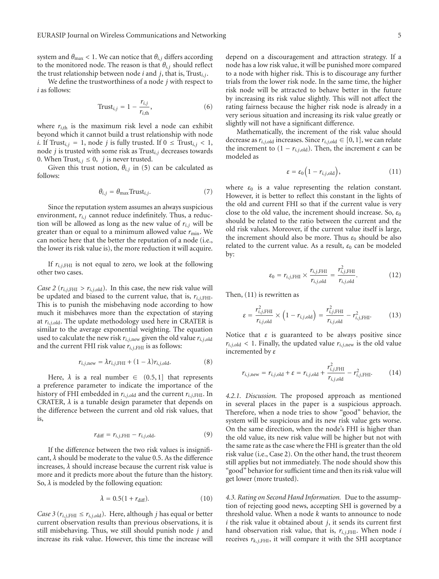system and  $\theta_{\text{max}} < 1$ . We can notice that  $\theta_{i,j}$  differs according to the monitored node. The reason is that  $\theta_{i,j}$  should reflect the trust relationship between node *i* and *j*, that is,  $Trust_{i,j}$ .

We define the trustworthiness of a node *j* with respect to *i* as follows:

$$
\text{Trust}_{i,j} = 1 - \frac{r_{i,j}}{r_{i,\text{th}}},\tag{6}
$$

where  $r_{i,th}$  is the maximum risk level a node can exhibit beyond which it cannot build a trust relationship with node *i*. If Trust<sub>*i*,*j*</sub> = 1, node *j* is fully trusted. If  $0 \leq$  Trust<sub>*i*,*j*</sub> < 1, node *j* is trusted with some risk as Trust*i*,*<sup>j</sup>* decreases towards 0. When Trust<sub>*i*,*j*</sub>  $\leq$  0, *j* is never trusted.

Given this trust notion,  $\theta_{i,j}$  in (5) can be calculated as follows:

$$
\theta_{i,j} = \theta_{\text{max}} \text{Trust}_{i,j}.
$$
 (7)

Since the reputation system assumes an always suspicious environment,  $r_{i,j}$  cannot reduce indefinitely. Thus, a reduction will be allowed as long as the new value of  $r_{i,j}$  will be greater than or equal to a minimum allowed value  $r_{\text{min}}$ . We can notice here that the better the reputation of a node (i.e., the lower its risk value is), the more reduction it will acquire.

If  $r_{i,j,\text{FHI}}$  is not equal to zero, we look at the following other two cases.

*Case 2* ( $r_{i,j,\text{FHI}} > r_{i,j,\text{old}}$ ). In this case, the new risk value will be updated and biased to the current value, that is,  $r_{i,j,\text{FHI}}$ . This is to punish the misbehaving node according to how much it misbehaves more than the expectation of staying at *ri*,*j*,old. The update methodology used here in CRATER is similar to the average exponential weighting. The equation used to calculate the new risk  $r_{i,j,\text{new}}$  given the old value  $r_{i,j,\text{old}}$ and the current FHI risk value  $r_{i,j,\text{FH}}$  is as follows:

$$
r_{i,j,\text{new}} = \lambda r_{i,j,\text{FHI}} + (1 - \lambda) r_{i,j,\text{old}}.\tag{8}
$$

Here,  $\lambda$  is a real number  $\in$  (0.5, 1) that represents a preference parameter to indicate the importance of the history of FHI embedded in  $r_{i,j,old}$  and the current  $r_{i,j,\text{FHI}}$ . In CRATER,  $\lambda$  is a tunable design parameter that depends on the difference between the current and old risk values, that is,

$$
r_{\text{diff}} = r_{i,j,\text{FHI}} - r_{i,j,\text{old}}.\tag{9}
$$

If the difference between the two risk values is insignificant, *λ* should be moderate to the value 0.5. As the difference increases,  $\lambda$  should increase because the current risk value is more and it predicts more about the future than the history. So,  $\lambda$  is modeled by the following equation:

$$
\lambda = 0.5(1 + r_{\text{diff}}). \tag{10}
$$

*Case 3* ( $r_{i,j,\text{FHI}} \leq r_{i,j,\text{old}}$ ). Here, although *j* has equal or better current observation results than previous observations, it is still misbehaving. Thus, we still should punish node *j* and increase its risk value. However, this time the increase will depend on a discouragement and attraction strategy. If a node has a low risk value, it will be punished more compared to a node with higher risk. This is to discourage any further trials from the lower risk node. In the same time, the higher risk node will be attracted to behave better in the future by increasing its risk value slightly. This will not affect the rating fairness because the higher risk node is already in a very serious situation and increasing its risk value greatly or slightly will not have a significant difference.

Mathematically, the increment of the risk value should decrease as  $r_{i,j,old}$  increases. Since  $r_{i,j,old} \in [0,1]$ , we can relate the increment to  $(1 - r_{i,j,old})$ . Then, the increment *ε* can be modeled as

$$
\varepsilon = \varepsilon_0 \Big( 1 - r_{i,j,\text{old}} \Big),\tag{11}
$$

where  $\varepsilon_0$  is a value representing the relation constant. However, it is better to reflect this constant in the lights of the old and current FHI so that if the current value is very close to the old value, the increment should increase. So, *ε*<sup>0</sup> should be related to the ratio between the current and the old risk values. Moreover, if the current value itself is large, the increment should also be more. Thus  $\varepsilon_0$  should be also related to the current value. As a result,  $\varepsilon_0$  can be modeled by:

$$
\varepsilon_0 = r_{i,j,\text{FHI}} \times \frac{r_{i,j,\text{FHI}}}{r_{i,j,\text{old}}} = \frac{r_{i,j,\text{FHI}}^2}{r_{i,j,\text{old}}}.
$$
 (12)

Then, (11) is rewritten as

$$
\varepsilon = \frac{r_{i,j,\text{FHI}}^2}{r_{i,j,\text{old}}} \times \left(1 - r_{i,j,\text{old}}\right) = \frac{r_{i,j,\text{FHI}}^2}{r_{i,j,\text{old}}} - r_{i,j,\text{FHI}}^2.
$$
 (13)

Notice that  $\varepsilon$  is guaranteed to be always positive since  $r_{i,j,\text{old}} < 1$ . Finally, the updated value  $r_{i,j,\text{new}}$  is the old value incremented by *ε*

$$
r_{i,j,\text{new}} = r_{i,j,\text{old}} + \varepsilon = r_{i,j,\text{old}} + \frac{r_{i,j,\text{FHI}}^2}{r_{i,j,\text{old}}} - r_{i,j,\text{FHI}}^2.
$$
 (14)

*4.2.1. Discussion.* The proposed approach as mentioned in several places in the paper is a suspicious approach. Therefore, when a node tries to show "good" behavior, the system will be suspicious and its new risk value gets worse. On the same direction, when the node's FHI is higher than the old value, its new risk value will be higher but not with the same rate as the case where the FHI is greater than the old risk value (i.e., Case 2). On the other hand, the trust theorem still applies but not immediately. The node should show this "good" behavior for sufficient time and then its risk value will get lower (more trusted).

*4.3. Rating on Second Hand Information.* Due to the assumption of rejecting good news, accepting SHI is governed by a threshold value. When a node *k* wants to announce to node *i* the risk value it obtained about *j*, it sends its current first hand observation risk value, that is, *ri*,*j*,FHI. When node *i* receives  $r_{k,j,\text{FHI}}$ , it will compare it with the SHI acceptance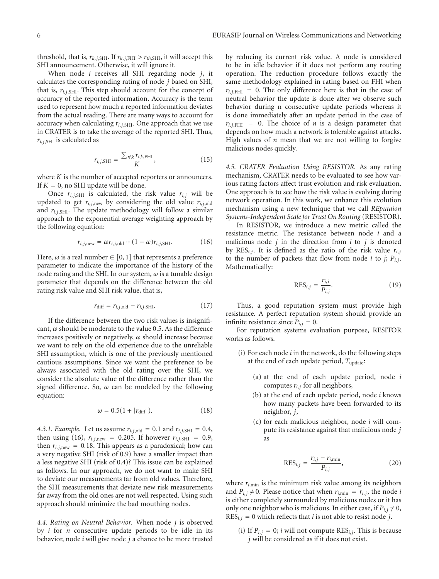threshold, that is,  $r_{k,i,\text{SHI}}$ . If  $r_{k,i,\text{FHI}} > r_{th,\text{SHI}}$ , it will accept this SHI announcement. Otherwise, it will ignore it.

When node *i* receives all SHI regarding node *j*, it calculates the corresponding rating of node *j* based on SHI, that is,  $r_{i,i,\text{SHI}}$ . This step should account for the concept of accuracy of the reported information. Accuracy is the term used to represent how much a reported information deviates from the actual reading. There are many ways to account for accuracy when calculating  $r_{i,j,\text{SHI}}$ . One approach that we use in CRATER is to take the average of the reported SHI. Thus,  $r_{i,j,\text{SHI}}$  is calculated as

$$
r_{i,j,\text{SHI}} = \frac{\sum_{\forall k} r_{i,k,\text{FHI}}}{K},\tag{15}
$$

where *K* is the number of accepted reporters or announcers. If  $K = 0$ , no SHI update will be done.

Once  $r_{i,j,\text{SHI}}$  is calculated, the risk value  $r_{i,j}$  will be updated to get  $r_{i,j,\text{new}}$  by considering the old value  $r_{i,j,\text{old}}$ and  $r_{i,j,\text{SHI}}$ . The update methodology will follow a similar approach to the exponential average weighting approach by the following equation:

$$
r_{i,j,\text{new}} = \omega r_{i,j,\text{old}} + (1 - \omega) r_{i,j,\text{SHI}}.\tag{16}
$$

Here,  $\omega$  is a real number  $\in [0, 1]$  that represents a preference parameter to indicate the importance of the history of the node rating and the SHI. In our system, *ω* is a tunable design parameter that depends on the difference between the old rating risk value and SHI risk value, that is,

$$
r_{\text{diff}} = r_{i,j,\text{old}} - r_{i,j,\text{SHI}}.\tag{17}
$$

If the difference between the two risk values is insignificant, *ω* should be moderate to the value 0.5. As the difference increases positively or negatively, *ω* should increase because we want to rely on the old experience due to the unreliable SHI assumption, which is one of the previously mentioned cautious assumptions. Since we want the preference to be always associated with the old rating over the SHI, we consider the absolute value of the difference rather than the signed difference. So,  $\omega$  can be modeled by the following equation:

$$
\omega = 0.5(1 + |r_{\text{diff}}|). \tag{18}
$$

*4.3.1. Example.* Let us assume  $r_{i,j,old} = 0.1$  and  $r_{i,j,SHI} = 0.4$ , then using (16),  $r_{i,j,\text{new}} = 0.205$ . If however  $r_{i,j,\text{SHI}} = 0.9$ , then  $r_{i,j,\text{new}} = 0.18$ . This appears as a paradoxical; how can a very negative SHI (risk of 0.9) have a smaller impact than a less negative SHI (risk of 0.4)? This issue can be explained as follows. In our approach, we do not want to make SHI to deviate our measurements far from old values. Therefore, the SHI measurements that deviate new risk measurements far away from the old ones are not well respected. Using such approach should minimize the bad mouthing nodes.

*4.4. Rating on Neutral Behavior.* When node *j* is observed by *i* for *n* consecutive update periods to be idle in its behavior, node *i* will give node *j* a chance to be more trusted by reducing its current risk value. A node is considered to be in idle behavior if it does not perform any routing operation. The reduction procedure follows exactly the same methodology explained in rating based on FHI when  $r_{i,i,FHI}$  = 0. The only difference here is that in the case of neutral behavior the update is done after we observe such behavior during n consecutive update periods whereas it is done immediately after an update period in the case of  $r_{i,j,\text{FHI}}$  = 0. The choice of *n* is a design parameter that depends on how much a network is tolerable against attacks. High values of *n* mean that we are not willing to forgive malicious nodes quickly.

*4.5. CRATER Evaluation Using RESISTOR.* As any rating mechanism, CRATER needs to be evaluated to see how various rating factors affect trust evolution and risk evaluation. One approach is to see how the risk value is evolving during network operation. In this work, we enhance this evolution mechanism using a new technique that we call *REputaion Systems-Independent Scale for Trust On Routing* (RESISTOR).

In RESISTOR, we introduce a new metric called the resistance metric. The resistance between node *i* and a malicious node *j* in the direction from *i* to *j* is denoted by  $RES_{i,j}$ . It is defined as the ratio of the risk value  $r_{i,j}$ to the number of packets that flow from node *i* to *j*;  $P_{i,j}$ . Mathematically:

$$
RES_{i,j} = \frac{r_{i,j}}{P_{i,j}}.\t(19)
$$

Thus, a good reputation system must provide high resistance. A perfect reputation system should provide an infinite resistance since  $P_{i,j} = 0$ .

For reputation systems evaluation purpose, RESITOR works as follows.

- (i) For each node *i* in the network, do the following steps at the end of each update period, *T*update:
	- (a) at the end of each update period, node *i* computes  $r_{i,j}$  for all neighbors,
	- (b) at the end of each update period, node *i* knows how many packets have been forwarded to its neighbor, *j*,
	- (c) for each malicious neighbor, node *i* will compute its resistance against that malicious node *j* as

$$
RES_{i,j} = \frac{r_{i,j} - r_{i,\min}}{P_{i,j}},
$$
\n(20)

where  $r_{i,min}$  is the minimum risk value among its neighbors and  $P_{i,j} \neq 0$ . Please notice that when  $r_{i,\text{min}} = r_{i,j}$ , the node *i* is either completely surrounded by malicious nodes or it has only one neighbor who is malicious. In either case, if  $P_{i,j} \neq 0$ ,  $RES_{i,j} = 0$  which reflects that *i* is not able to resist node *j*.

(i) If  $P_{i,j} = 0$ ; *i* will not compute RES<sub>*i,j*</sub>. This is because *j* will be considered as if it does not exist.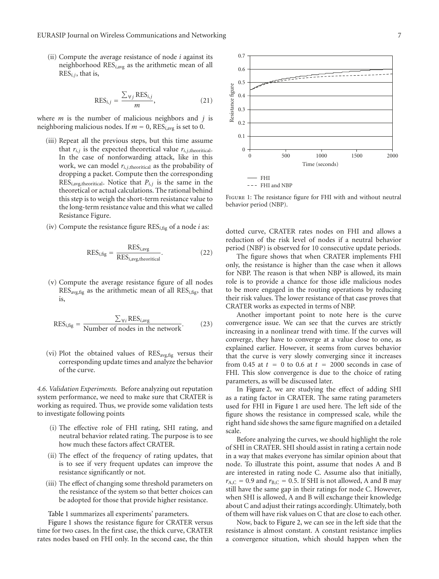(ii) Compute the average resistance of node *i* against its neighborhood RES*i*,avg as the arithmetic mean of all RES*i*,*j*, that is,

$$
RES_{i,j} = \frac{\sum \forall j \text{RES}_{i,j}}{m},\tag{21}
$$

where *m* is the number of malicious neighbors and *j* is neighboring malicious nodes. If  $m = 0$ , RES<sub>*i*,avg</sub> is set to 0.

- (iii) Repeat all the previous steps, but this time assume that  $r_{i,j}$  is the expected theoretical value  $r_{i,j,\text{theoretical}}$ . In the case of nonforwarding attack, like in this work, we can model *ri*,*j*,theoritical as the probability of dropping a packet. Compute then the corresponding RES<sub>*i*,avg,theoritical</sub>. Notice that  $P_{i,j}$  is the same in the theoretical or actual calculations. The rational behind this step is to weigh the short-term resistance value to the long-term resistance value and this what we called Resistance Figure.
- (iv) Compute the resistance figure  $RES_{i,fig}$  of a node *i* as:

$$
RES_{i,fig} = \frac{RES_{i,avg}}{RES_{i,avg,theorritical}}.
$$
 (22)

(v) Compute the average resistance figure of all nodes  $RES_{\text{avg,fig}}$  as the arithmetic mean of all  $RES_{i,\text{fig}}$ , that is,

$$
RES_{i,fig} = \frac{\sum_{\forall i} RES_{i,avg}}{Number of nodes in the network}.
$$
 (23)

(vi) Plot the obtained values of RES<sub>avg,fig</sub> versus their corresponding update times and analyze the behavior of the curve.

*4.6. Validation Experiments.* Before analyzing out reputation system performance, we need to make sure that CRATER is working as required. Thus, we provide some validation tests to investigate following points

- (i) The effective role of FHI rating, SHI rating, and neutral behavior related rating. The purpose is to see how much these factors affect CRATER.
- (ii) The effect of the frequency of rating updates, that is to see if very frequent updates can improve the resistance significantly or not.
- (iii) The effect of changing some threshold parameters on the resistance of the system so that better choices can be adopted for those that provide higher resistance.

Table 1 summarizes all experiments' parameters.

Figure 1 shows the resistance figure for CRATER versus time for two cases. In the first case, the thick curve, CRATER rates nodes based on FHI only. In the second case, the thin



Figure 1: The resistance figure for FHI with and without neutral behavior period (NBP).

dotted curve, CRATER rates nodes on FHI and allows a reduction of the risk level of nodes if a neutral behavior period (NBP) is observed for 10 consecutive update periods.

The figure shows that when CRATER implements FHI only, the resistance is higher than the case when it allows for NBP. The reason is that when NBP is allowed, its main role is to provide a chance for those idle malicious nodes to be more engaged in the routing operations by reducing their risk values. The lower resistance of that case proves that CRATER works as expected in terms of NBP.

Another important point to note here is the curve convergence issue. We can see that the curves are strictly increasing in a nonlinear trend with time. If the curves will converge, they have to converge at a value close to one, as explained earlier. However, it seems from curves behavior that the curve is very slowly converging since it increases from 0.45 at  $t = 0$  to 0.6 at  $t = 2000$  seconds in case of FHI. This slow convergence is due to the choice of rating parameters, as will be discussed later.

In Figure 2, we are studying the effect of adding SHI as a rating factor in CRATER. The same rating parameters used for FHI in Figure 1 are used here. The left side of the figure shows the resistance in compressed scale, while the right hand side shows the same figure magnified on a detailed scale.

Before analyzing the curves, we should highlight the role of SHI in CRATER. SHI should assist in rating a certain node in a way that makes everyone has similar opinion about that node. To illustrate this point, assume that nodes A and B are interested in rating node C. Assume also that initially,  $r_{A,C} = 0.9$  and  $r_{B,C} = 0.5$ . If SHI is not allowed, A and B may still have the same gap in their ratings for node C. However, when SHI is allowed, A and B will exchange their knowledge about C and adjust their ratings accordingly. Ultimately, both of them will have risk values on C that are close to each other.

Now, back to Figure 2, we can see in the left side that the resistance is almost constant. A constant resistance implies a convergence situation, which should happen when the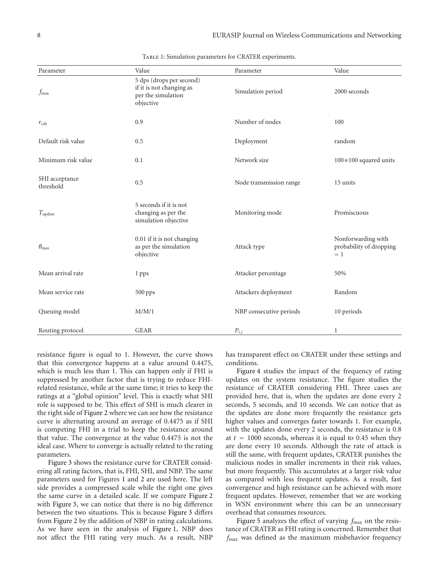| Parameter                   | Value                                                                                   | Parameter               | Value                                                  |
|-----------------------------|-----------------------------------------------------------------------------------------|-------------------------|--------------------------------------------------------|
| $f_{\rm max}$               | 5 dps (drops per second)<br>if it is not changing as<br>per the simulation<br>objective | Simulation period       | 2000 seconds                                           |
| $r_{i,th}$                  | 0.9                                                                                     | Number of nodes         | 100                                                    |
| Default risk value          | 0.5                                                                                     | Deployment              | random                                                 |
| Minimum risk value          | 0.1                                                                                     | Network size            | $100*100$ squared units                                |
| SHI acceptance<br>threshold | 0.5                                                                                     | Node transmission range | 15 units                                               |
| $T_{\rm update}$            | 5 seconds if it is not<br>changing as per the<br>simulation objective                   | Monitoring mode         | Promiscuous                                            |
| $\theta_{\rm max}$          | 0.01 if it is not changing<br>as per the simulation<br>objective                        | Attack type             | Nonforwarding with<br>probability of dropping<br>$=$ 1 |
| Mean arrival rate           | 1 pps                                                                                   | Attacker percentage     | 50%                                                    |
| Mean service rate           | 500 pps                                                                                 | Attackers deployment    | Random                                                 |
| Queuing model               | M/M/1                                                                                   | NBP consecutive periods | 10 periods                                             |
| Routing protocol            | <b>GEAR</b>                                                                             | $P_{i,j}$               | 1                                                      |

TABLE 1: Simulation parameters for CRATER experiments.

resistance figure is equal to 1. However, the curve shows that this convergence happens at a value around 0.4475, which is much less than 1. This can happen only if FHI is suppressed by another factor that is trying to reduce FHIrelated resistance, while at the same time; it tries to keep the ratings at a "global opinion" level. This is exactly what SHI role is supposed to be. This effect of SHI is much clearer in the right side of Figure 2 where we can see how the resistance curve is alternating around an average of 0.4475 as if SHI is competing FHI in a trial to keep the resistance around that value. The convergence at the value 0.4475 is not the ideal case. Where to converge is actually related to the rating parameters.

Figure 3 shows the resistance curve for CRATER considering all rating factors, that is, FHI, SHI, and NBP. The same parameters used for Figures 1 and 2 are used here. The left side provides a compressed scale while the right one gives the same curve in a detailed scale. If we compare Figure 2 with Figure 3, we can notice that there is no big difference between the two situations. This is because Figure 3 differs from Figure 2 by the addition of NBP in rating calculations. As we have seen in the analysis of Figure 1, NBP does not affect the FHI rating very much. As a result, NBP

has transparent effect on CRATER under these settings and conditions.

Figure 4 studies the impact of the frequency of rating updates on the system resistance. The figure studies the resistance of CRATER considering FHI. Three cases are provided here, that is, when the updates are done every 2 seconds, 5 seconds, and 10 seconds. We can notice that as the updates are done more frequently the resistance gets higher values and converges faster towards 1. For example, with the updates done every 2 seconds, the resistance is 0.8 at  $t = 1000$  seconds, whereas it is equal to 0.45 when they are done every 10 seconds. Although the rate of attack is still the same, with frequent updates, CRATER punishes the malicious nodes in smaller increments in their risk values, but more frequently. This accumulates at a larger risk value as compared with less frequent updates. As a result, fast convergence and high resistance can be achieved with more frequent updates. However, remember that we are working in WSN environment where this can be an unnecessary overhead that consumes resources.

Figure 5 analyzes the effect of varying  $f_{\text{max}}$  on the resistance of CRATER as FHI rating is concerned. Remember that *f*max was defined as the maximum misbehavior frequency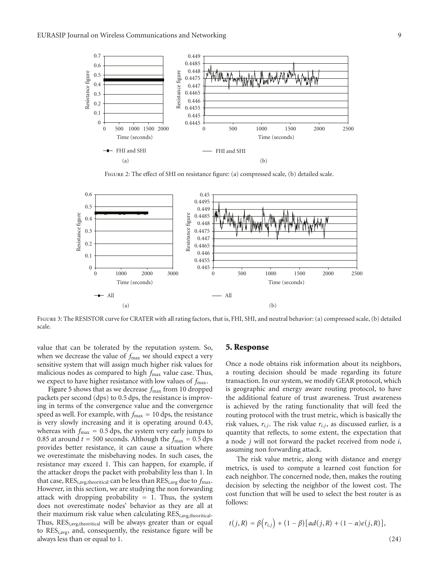

Figure 2: The effect of SHI on resistance figure: (a) compressed scale, (b) detailed scale.



Figure 3: The RESISTOR curve for CRATER with all rating factors, that is, FHI, SHI, and neutral behavior: (a) compressed scale, (b) detailed scale.

value that can be tolerated by the reputation system. So, when we decrease the value of  $f_{\text{max}}$  we should expect a very sensitive system that will assign much higher risk values for malicious nodes as compared to high  $f_{\text{max}}$  value case. Thus, we expect to have higher resistance with low values of  $f_{\text{max}}$ .

Figure 5 shows that as we decrease  $f_{\text{max}}$  from 10 dropped packets per second (dps) to 0.5 dps, the resistance is improving in terms of the convergence value and the convergence speed as well. For example, with  $f_{\text{max}} = 10$  dps, the resistance is very slowly increasing and it is operating around 0.43, whereas with  $f_{\text{max}} = 0.5$  dps, the system very early jumps to 0.85 at around  $t = 500$  seconds. Although the  $f_{\text{max}} = 0.5$  dps provides better resistance, it can cause a situation where we overestimate the misbehaving nodes. In such cases, the resistance may exceed 1. This can happen, for example, if the attacker drops the packet with probability less than 1. In that case,  $RES_{i,avg,theorritical}$  can be less than  $RES_{i,avg}$  due to  $f_{max}$ . However, in this section, we are studying the non forwarding attack with dropping probability  $= 1$ . Thus, the system does not overestimate nodes' behavior as they are all at their maximum risk value when calculating RES*i*,avg,theoritical. Thus, RES*i*,avg,theoritical will be always greater than or equal to RES*i*,avg, and, consequently, the resistance figure will be always less than or equal to 1.

#### **5. Response**

Once a node obtains risk information about its neighbors, a routing decision should be made regarding its future transaction. In our system, we modify GEAR protocol, which is geographic and energy aware routing protocol, to have the additional feature of trust awareness. Trust awareness is achieved by the rating functionality that will feed the routing protocol with the trust metric, which is basically the risk values,  $r_{i,j}$ . The risk value  $r_{i,j}$ , as discussed earlier, is a quantity that reflects, to some extent, the expectation that a node *j* will not forward the packet received from node *i*, assuming non forwarding attack.

The risk value metric, along with distance and energy metrics, is used to compute a learned cost function for each neighbor. The concerned node, then, makes the routing decision by selecting the neighbor of the lowest cost. The cost function that will be used to select the best router is as follows:

$$
t(j,R) = \beta(r_{i,j}) + (1 - \beta) [\alpha d(j,R) + (1 - \alpha)e(j,R)],
$$
\n(24)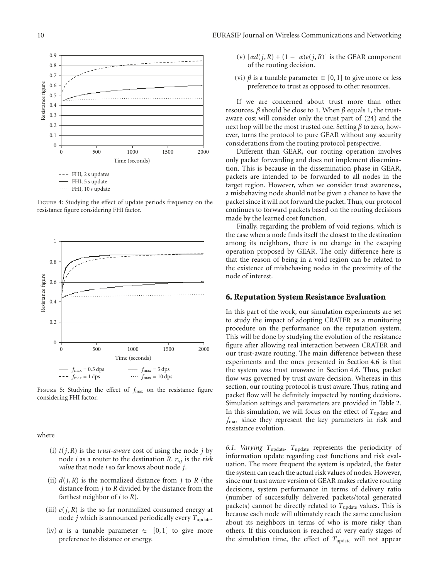

Figure 4: Studying the effect of update periods frequency on the resistance figure considering FHI factor.



FIGURE 5: Studying the effect of  $f_{\text{max}}$  on the resistance figure considering FHI factor.

where

- (i)  $t(j, R)$  is the *trust-aware* cost of using the node *j* by node *i* as a router to the destination *R*. *ri*,*<sup>j</sup>* is the *risk value* that node *i* so far knows about node *j*.
- (ii)  $d(j, R)$  is the normalized distance from *j* to *R* (the distance from *j* to *R* divided by the distance from the farthest neighbor of *i* to *R*).
- (iii)  $e(j, R)$  is the so far normalized consumed energy at node *j* which is announced periodically every *T*update.
- (iv)  $\alpha$  is a tunable parameter  $\in$  [0, 1] to give more preference to distance or energy.
- (v)  $[\alpha d(j, R) + (1 \alpha)e(j, R)]$  is the GEAR component of the routing decision.
- (vi)  $\beta$  is a tunable parameter  $\in [0, 1]$  to give more or less preference to trust as opposed to other resources.

If we are concerned about trust more than other resources, *β* should be close to 1. When *β* equals 1, the trustaware cost will consider only the trust part of (24) and the next hop will be the most trusted one. Setting *β* to zero, however, turns the protocol to pure GEAR without any security considerations from the routing protocol perspective.

Different than GEAR, our routing operation involves only packet forwarding and does not implement dissemination. This is because in the dissemination phase in GEAR, packets are intended to be forwarded to all nodes in the target region. However, when we consider trust awareness, a misbehaving node should not be given a chance to have the packet since it will not forward the packet. Thus, our protocol continues to forward packets based on the routing decisions made by the learned cost function.

Finally, regarding the problem of void regions, which is the case when a node finds itself the closest to the destination among its neighbors, there is no change in the escaping operation proposed by GEAR. The only difference here is that the reason of being in a void region can be related to the existence of misbehaving nodes in the proximity of the node of interest.

## **6. Reputation System Resistance Evaluation**

In this part of the work, our simulation experiments are set to study the impact of adopting CRATER as a monitoring procedure on the performance on the reputation system. This will be done by studying the evolution of the resistance figure after allowing real interaction between CRATER and our trust-aware routing. The main difference between these experiments and the ones presented in Section 4.6 is that the system was trust unaware in Section 4.6. Thus, packet flow was governed by trust aware decision. Whereas in this section, our routing protocol is trust aware. Thus, rating and packet flow will be definitely impacted by routing decisions. Simulation settings and parameters are provided in Table 2. In this simulation, we will focus on the effect of *T*update and *f*max since they represent the key parameters in risk and resistance evolution.

*6.1. Varying T*update*. T*update represents the periodicity of information update regarding cost functions and risk evaluation. The more frequent the system is updated, the faster the system can reach the actual risk values of nodes. However, since our trust aware version of GEAR makes relative routing decisions, system performance in terms of delivery ratio (number of successfully delivered packets/total generated packets) cannot be directly related to *T*<sub>update</sub> values. This is because each node will ultimately reach the same conclusion about its neighbors in terms of who is more risky than others. If this conclusion is reached at very early stages of the simulation time, the effect of  $T_{update}$  will not appear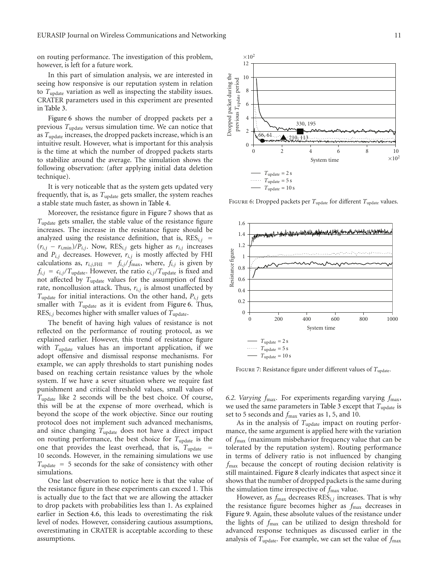on routing performance. The investigation of this problem, however, is left for a future work.

In this part of simulation analysis, we are interested in seeing how responsive is our reputation system in relation to *T*update variation as well as inspecting the stability issues. CRATER parameters used in this experiment are presented in Table 3.

Figure 6 shows the number of dropped packets per a previous *T*update versus simulation time. We can notice that as *T*update increases, the dropped packets increase, which is an intuitive result. However, what is important for this analysis is the time at which the number of dropped packets starts to stabilize around the average. The simulation shows the following observation: (after applying initial data deletion technique).

It is very noticeable that as the system gets updated very frequently, that is, as  $T_{update}$  gets smaller, the system reaches a stable state much faster, as shown in Table 4.

Moreover, the resistance figure in Figure 7 shows that as *T*update gets smaller, the stable value of the resistance figure increases. The increase in the resistance figure should be analyzed using the resistance definition, that is,  $RES_{i,j}$  =  $(r_{i,j} - r_{i,\text{min}})/P_{i,j}$ . Now, RES<sub>*i,j*</sub> gets higher as  $r_{i,j}$  increases and  $P_{i,j}$  decreases. However,  $r_{i,j}$  is mostly affected by FHI calculations as,  $r_{i,j,\text{FHI}} = f_{i,j}/f_{\text{max}}$ , where,  $f_{i,j}$  is given by  $f_{i,j} = c_{i,j}/T_{update}$ . However, the ratio  $c_{i,j}/T_{update}$  is fixed and not affected by T<sub>update</sub> values for the assumption of fixed rate, noncollusion attack. Thus,  $r_{i,j}$  is almost unaffected by *T*update for initial interactions. On the other hand, *Pi*,*<sup>j</sup>* gets smaller with *T*<sub>update</sub> as it is evident from Figure 6. Thus,  $RES_{i,j}$  becomes higher with smaller values of  $T_{update}$ .

The benefit of having high values of resistance is not reflected on the performance of routing protocol, as we explained earlier. However, this trend of resistance figure with *T*update values has an important application, if we adopt offensive and dismissal response mechanisms. For example, we can apply thresholds to start punishing nodes based on reaching certain resistance values by the whole system. If we have a sever situation where we require fast punishment and critical threshold values, small values of *T*update like 2 seconds will be the best choice. Of course, this will be at the expense of more overhead, which is beyond the scope of the work objective. Since our routing protocol does not implement such advanced mechanisms, and since changing *T*update does not have a direct impact on routing performance, the best choice for *T*update is the one that provides the least overhead, that is,  $T_{update}$  = 10 seconds. However, in the remaining simulations we use  $T_{update}$  = 5 seconds for the sake of consistency with other simulations.

One last observation to notice here is that the value of the resistance figure in these experiments can exceed 1. This is actually due to the fact that we are allowing the attacker to drop packets with probabilities less than 1. As explained earlier in Section 4.6, this leads to overestimating the risk level of nodes. However, considering cautious assumptions, overestimating in CRATER is acceptable according to these assumptions.



FIGURE 6: Dropped packets per  $T_{update}$  for different  $T_{update}$  values.



FIGURE 7: Resistance figure under different values of  $T_{\text{update}}$ .

*6.2. Varying f*max*.* For experiments regarding varying *f*max, we used the same parameters in Table 3 except that *T*update is set to 5 seconds and  $f_{\text{max}}$  varies as 1, 5, and 10.

As in the analysis of  $T_{update}$  impact on routing performance, the same argument is applied here with the variation of *f*max (maximum misbehavior frequency value that can be tolerated by the reputation system). Routing performance in terms of delivery ratio is not influenced by changing *f*max because the concept of routing decision relativity is still maintained. Figure 8 clearly indicates that aspect since it shows that the number of dropped packets is the same during the simulation time irrespective of *f*max value.

However, as  $f_{\text{max}}$  decreases  $\text{RES}_{i,j}$  increases. That is why the resistance figure becomes higher as *f*max decreases in Figure 9. Again, these absolute values of the resistance under the lights of *f*max can be utilized to design threshold for advanced response techniques as discussed earlier in the analysis of *T*update*.* For example, we can set the value of *f*max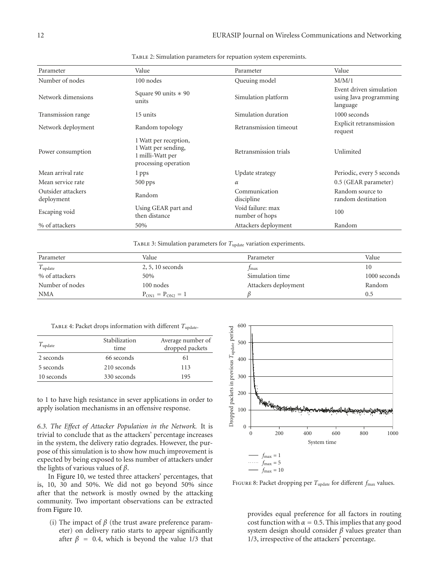| Parameter                        | Value                                                                                    | Parameter                           | Value                                                         |
|----------------------------------|------------------------------------------------------------------------------------------|-------------------------------------|---------------------------------------------------------------|
| Number of nodes                  | 100 nodes                                                                                | Queuing model                       | M/M/1                                                         |
| Network dimensions               | Square 90 units $* 90$<br>units                                                          | Simulation platform                 | Event driven simulation<br>using Java programming<br>language |
| Transmission range               | 15 units                                                                                 | Simulation duration                 | 1000 seconds                                                  |
| Network deployment               | Random topology                                                                          | Retransmission timeout              | Explicit retransmission<br>request                            |
| Power consumption                | 1 Watt per reception,<br>1 Watt per sending,<br>1 milli-Watt per<br>processing operation | Retransmission trials               | Unlimited                                                     |
| Mean arrival rate                | 1 pps                                                                                    | Update strategy                     | Periodic, every 5 seconds                                     |
| Mean service rate                | $500$ pps                                                                                | $\alpha$                            | 0.5 (GEAR parameter)                                          |
| Outsider attackers<br>deployment | Random                                                                                   | Communication<br>discipline         | Random source to<br>random destination                        |
| Escaping void                    | Using GEAR part and<br>then distance                                                     | Void failure: max<br>number of hops | 100                                                           |
| % of attackers                   | 50%                                                                                      | Attackers deployment                | Random                                                        |

Table 2: Simulation parameters for repuation system experemints.

TABLE 3: Simulation parameters for  $T_{update}$  variation experiments.

| Parameter           | Value                   | Parameter            | Value        |
|---------------------|-------------------------|----------------------|--------------|
| $T_{\text{update}}$ | $2, 5, 10$ seconds      | $f_{\rm max}$        | 10           |
| % of attackers      | 50%                     | Simulation time      | 1000 seconds |
| Number of nodes     | 100 nodes               | Attackers deployment | Random       |
| <b>NMA</b>          | $P_{ON1} = P_{ON2} = 1$ |                      | 0.5          |

Table 4: Packet drops information with different *T*update*.*

| $T_{\text{update}}$ | Stabilization<br>time | Average number of<br>dropped packets |
|---------------------|-----------------------|--------------------------------------|
| 2 seconds           | 66 seconds            | 61                                   |
| 5 seconds           | 210 seconds           | 113                                  |
| 10 seconds          | 330 seconds           | 195                                  |

to 1 to have high resistance in sever applications in order to apply isolation mechanisms in an offensive response.

*6.3. The Effect of Attacker Population in the Network.* It is trivial to conclude that as the attackers' percentage increases in the system, the delivery ratio degrades. However, the purpose of this simulation is to show how much improvement is expected by being exposed to less number of attackers under the lights of various values of *β*.

In Figure 10, we tested three attackers' percentages, that is, 10, 30 and 50%. We did not go beyond 50% since after that the network is mostly owned by the attacking community. Two important observations can be extracted from Figure 10.

(i) The impact of  $\beta$  (the trust aware preference parameter) on delivery ratio starts to appear significantly after  $\beta = 0.4$ , which is beyond the value 1/3 that



FIGURE 8: Packet dropping per  $T_{\text{update}}$  for different  $f_{\text{max}}$  values.

provides equal preference for all factors in routing cost function with  $\alpha = 0.5$ . This implies that any good system design should consider *β* values greater than 1/3, irrespective of the attackers' percentage.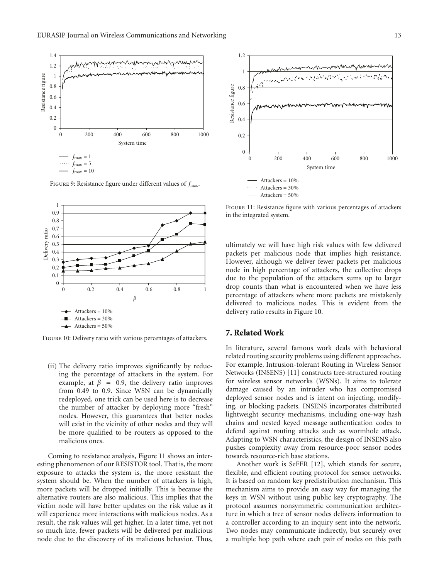

FIGURE 9: Resistance figure under different values of  $f_{\text{max}}$ .



Figure 10: Delivery ratio with various percentages of attackers.

(ii) The delivery ratio improves significantly by reducing the percentage of attackers in the system. For example, at  $\beta = 0.9$ , the delivery ratio improves from 0.49 to 0.9. Since WSN can be dynamically redeployed, one trick can be used here is to decrease the number of attacker by deploying more "fresh" nodes. However, this guarantees that better nodes will exist in the vicinity of other nodes and they will be more qualified to be routers as opposed to the malicious ones.

Coming to resistance analysis, Figure 11 shows an interesting phenomenon of our RESISTOR tool. That is, the more exposure to attacks the system is, the more resistant the system should be. When the number of attackers is high, more packets will be dropped initially. This is because the alternative routers are also malicious. This implies that the victim node will have better updates on the risk value as it will experience more interactions with malicious nodes. As a result, the risk values will get higher. In a later time, yet not so much late, fewer packets will be delivered per malicious node due to the discovery of its malicious behavior. Thus,



Figure 11: Resistance figure with various percentages of attackers in the integrated system.

ultimately we will have high risk values with few delivered packets per malicious node that implies high resistance. However, although we deliver fewer packets per malicious node in high percentage of attackers, the collective drops due to the population of the attackers sums up to larger drop counts than what is encountered when we have less percentage of attackers where more packets are mistakenly delivered to malicious nodes. This is evident from the delivery ratio results in Figure 10.

## **7. Related Work**

In literature, several famous work deals with behavioral related routing security problems using different approaches. For example, Intrusion-tolerant Routing in Wireless Sensor Networks (INSENS) [11] constructs tree-structured routing for wireless sensor networks (WSNs). It aims to tolerate damage caused by an intruder who has compromised deployed sensor nodes and is intent on injecting, modifying, or blocking packets. INSENS incorporates distributed lightweight security mechanisms, including one-way hash chains and nested keyed message authentication codes to defend against routing attacks such as wormhole attack. Adapting to WSN characteristics, the design of INSENS also pushes complexity away from resource-poor sensor nodes towards resource-rich base stations.

Another work is SeFER [12], which stands for secure, flexible, and efficient routing protocol for sensor networks. It is based on random key predistribution mechanism. This mechanism aims to provide an easy way for managing the keys in WSN without using public key cryptography. The protocol assumes nonsymmetric communication architecture in which a tree of sensor nodes delivers information to a controller according to an inquiry sent into the network. Two nodes may communicate indirectly, but securely over a multiple hop path where each pair of nodes on this path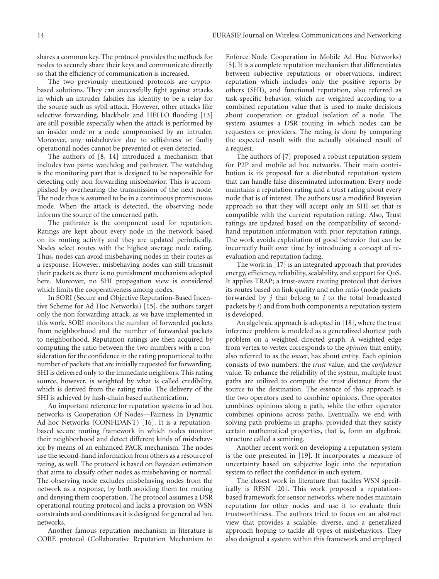shares a common key. The protocol provides the methods for nodes to securely share their keys and communicate directly so that the efficiency of communication is increased.

The two previously mentioned protocols are cryptobased solutions. They can successfully fight against attacks in which an intruder falsifies his identity to be a relay for the source such as sybil attack. However, other attacks like selective forwarding, blackhole and HELLO flooding [13] are still possible especially when the attack is performed by an insider node or a node compromised by an intruder. Moreover, any misbehavior due to selfishness or faulty operational nodes cannot be prevented or even detected.

The authors of [8, 14] introduced a mechanism that includes two parts: watchdog and pathrater. The watchdog is the monitoring part that is designed to be responsible for detecting only non forwarding misbehavior. This is accomplished by overhearing the transmission of the next node. The node thus is assumed to be in a continuous promiscuous mode. When the attack is detected, the observing node informs the source of the concerned path.

The pathrater is the component used for reputation. Ratings are kept about every node in the network based on its routing activity and they are updated periodically. Nodes select routes with the highest average node rating. Thus, nodes can avoid misbehaving nodes in their routes as a response. However, misbehaving nodes can still transmit their packets as there is no punishment mechanism adopted here. Moreover, no SHI propagation view is considered which limits the cooperativeness among nodes.

In SORI (Secure and Objective Reputation-Based Incentive Scheme for Ad Hoc Networks) [15], the authors target only the non forwarding attack, as we have implemented in this work. SORI monitors the number of forwarded packets from neighborhood and the number of forwarded packets to neighborhood. Reputation ratings are then acquired by computing the ratio between the two numbers with a consideration for the confidence in the rating proportional to the number of packets that are initially requested for forwarding. SHI is delivered only to the immediate neighbors. This rating source, however, is weighted by what is called credibility, which is derived from the rating ratio. The delivery of the SHI is achieved by hash-chain based authentication.

An important reference for reputation systems in ad hoc networks is Cooperation Of Nodes—Fairness In Dynamic Ad-hoc Networks (CONFIDANT) [16]. It is a reputationbased secure routing framework in which nodes monitor their neighborhood and detect different kinds of misbehavior by means of an enhanced PACK mechanism. The nodes use the second-hand information from others as a resource of rating, as well. The protocol is based on Bayesian estimation that aims to classify other nodes as misbehaving or normal. The observing node excludes misbehaving nodes from the network as a response, by both avoiding them for routing and denying them cooperation. The protocol assumes a DSR operational routing protocol and lacks a provision on WSN constraints and conditions as it is designed for general ad hoc networks.

Another famous reputation mechanism in literature is CORE protocol (Collaborative Reputation Mechanism to

Enforce Node Cooperation in Mobile Ad Hoc Networks) [5]. It is a complete reputation mechanism that differentiates between subjective reputations or observations, indirect reputation which includes only the positive reports by others (SHI), and functional reputation, also referred as task-specific behavior, which are weighted according to a combined reputation value that is used to make decisions about cooperation or gradual isolation of a node. The system assumes a DSR routing in which nodes can be requesters or providers. The rating is done by comparing the expected result with the actually obtained result of a request.

The authors of [7] proposed a robust reputation system for P2P and mobile ad hoc networks. Their main contribution is its proposal for a distributed reputation system that can handle false disseminated information. Every node maintains a reputation rating and a trust rating about every node that is of interest. The authors use a modified Bayesian approach so that they will accept only an SHI set that is compatible with the current reputation rating. Also, Trust ratings are updated based on the compatibility of secondhand reputation information with prior reputation ratings. The work avoids exploitation of good behavior that can be incorrectly built over time by introducing a concept of reevaluation and reputation fading.

The work in [17] is an integrated approach that provides energy, efficiency, reliability, scalability, and support for QoS. It applies TRAP; a trust-aware routing protocol that derives its routes based on link quality and echo ratio (node packets forwarded by *j* that belong to *i* to the total broadcasted packets by *i*) and from both components a reputation system is developed.

An algebraic approach is adopted in [18], where the trust inference problem is modeled as a generalized shortest path problem on a weighted directed graph. A weighted edge from vertex to vertex corresponds to the *opinion* that entity, also referred to as the *issuer*, has about entity. Each opinion consists of two numbers: the *trust* value, and the *confidence* value. To enhance the reliability of the system, multiple trust paths are utilized to compute the trust distance from the source to the destination. The essence of this approach is the two operators used to combine opinions. One operator combines opinions along a path, while the other operator combines opinions across paths. Eventually, we end with solving path problems in graphs, provided that they satisfy certain mathematical properties, that is, form an algebraic structure called a semiring.

Another recent work on developing a reputation system is the one presented in [19]. It incorporates a measure of uncertainty based on subjective logic into the reputation system to reflect the confidence in such system.

The closest work in literature that tackles WSN specifically is RFSN [20]**.** This work proposed a reputationbased framework for sensor networks, where nodes maintain reputation for other nodes and use it to evaluate their trustworthiness. The authors tried to focus on an abstract view that provides a scalable, diverse, and a generalized approach hoping to tackle all types of misbehaviors. They also designed a system within this framework and employed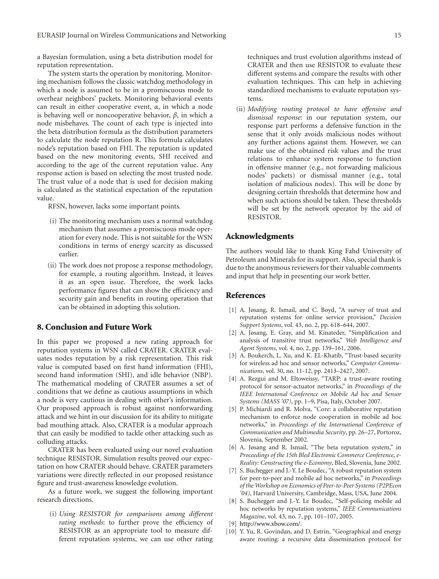a Bayesian formulation, using a beta distribution model for reputation representation.

The system starts the operation by monitoring. Monitoring mechanism follows the classic watchdog methodology in which a node is assumed to be in a promiscuous mode to overhear neighbors' packets. Monitoring behavioral events can result in either cooperative event, *α*, in which a node is behaving well or noncooperative behavior, *β*, in which a node misbehaves. The count of each type is injected into the beta distribution formula as the distribution parameters to calculate the node reputation R. This formula calculates node's reputation based on FHI. The reputation is updated based on the new monitoring events, SHI received and according to the age of the current reputation value. Any response action is based on selecting the most trusted node. The trust value of a node that is used for decision making is calculated as the statistical expectation of the reputation value.

RFSN, however, lacks some important points.

- (i) The monitoring mechanism uses a normal watchdog mechanism that assumes a promiscuous mode operation for every node. This is not suitable for the WSN conditions in terms of energy scarcity as discussed earlier.
- (ii) The work does not propose a response methodology, for example, a routing algorithm. Instead, it leaves it as an open issue. Therefore, the work lacks performance figures that can show the efficiency and security gain and benefits in routing operation that can be obtained in adopting this solution.

## **8. Conclusion and Future Work**

In this paper we proposed a new rating approach for reputation systems in WSN called CRATER. CRATER evaluates nodes reputation by a risk representation. This risk value is computed based on first hand information (FHI), second hand information (SHI), and idle behavior (NBP). The mathematical modeling of CRATER assumes a set of conditions that we define as cautious assumptions in which a node is very cautious in dealing with other's information. Our proposed approach is robust against nonforwarding attack and we hint in our discussion for its ability to mitigate bad mouthing attack. Also, CRATER is a modular approach that can easily be modified to tackle other attacking such as colluding attacks.

CRATER has been evaluated using our novel evaluation technique RESISTOR. Simulation results proved our expectation on how CRATER should behave. CRATER parameters variations were directly reflected in our proposed resistance figure and trust-awareness knowledge evolution.

As a future work, we suggest the following important research directions.

(i) *Using RESISTOR for comparisons among different rating methods*: to further prove the efficiency of RESISTOR as an appropriate tool to measure different reputation systems, we can use other rating techniques and trust evolution algorithms instead of CRATER and then use RESISTOR to evaluate these different systems and compare the results with other evaluation techniques. This can help in achieving standardized mechanisms to evaluate reputation systems.

(ii) *Modifying routing protocol to have offensive and dismissal response*: in our reputation system, our response part performs a defensive function in the sense that it only avoids malicious nodes without any further actions against them. However, we can make use of the obtained risk values and the trust relations to enhance system response to function in offensive manner (e.g., not forwarding malicious nodes' packets) or dismissal manner (e.g., total isolation of malicious nodes). This will be done by designing certain thresholds that determine how and when such actions should be taken. These thresholds will be set by the network operator by the aid of RESISTOR.

## **Acknowledgments**

The authors would like to thank King Fahd University of Petroleum and Minerals for its support. Also, special thank is due to the anonymous reviewers for their valuable comments and input that help in presenting our work better.

## **References**

- [1] A. Jøsang, R. Ismail, and C. Boyd, "A survey of trust and reputation systems for online service provision," *Decision Support Systems*, vol. 43, no. 2, pp. 618–644, 2007.
- [2] A. Jøsang, E. Gray, and M. Kinateder, "Simplification and analysis of transitive trust networks," *Web Intelligence and Agent Systems*, vol. 4, no. 2, pp. 139–161, 2006.
- [3] A. Boukerch, L. Xu, and K. EL-Khatib, "Trust-based security for wireless ad hoc and sensor networks," *Computer Communications*, vol. 30, no. 11-12, pp. 2413–2427, 2007.
- [4] A. Rezgui and M. Eltoweissy, "TARP: a trust-aware routing protocol for sensor-actuator networks," in *Proceedings of the IEEE Internatonal Conference on Mobile Ad hoc and Sensor Systems (MASS '07)*, pp. 1–9, Pisa, Italy, October 2007.
- [5] P. Michiardi and R. Molva, "Core: a collaborative reputation mechanism to enforce node cooperation in mobile ad hoc networks," in *Proceedings of the International Conference of Communication and Multimedia Security*, pp. 26–27, Portoroz, Slovenia, September 2002.
- [6] A. Jøsang and R. Ismail, "The beta reputation system," in *Proceedings of the 15th Bled Electronic Commerce Conference, e-Reality: Constructing the e-Economy*, Bled, Slovenia, June 2002.
- [7] S. Buchegger and J.-Y. Le Boudec, "A robust reputation system for peer-to-peer and mobile ad hoc networks," in *Proceedings of the Workshop on Economics of Peer-to-Peer Systems (P2PEcon '04)*, Harvard University, Cambridge, Mass, USA, June 2004.
- [8] S. Buchegger and J.-Y. Le Boudec, "Self-policing mobile ad hoc networks by reputation systems," *IEEE Communications Magazine*, vol. 43, no. 7, pp. 101–107, 2005.
- [9] http://www.xbow.com/.
- [10] Y. Yu, R. Govindan, and D. Estrin, "Geographical and energy aware routing: a recursive data dissemination protocol for